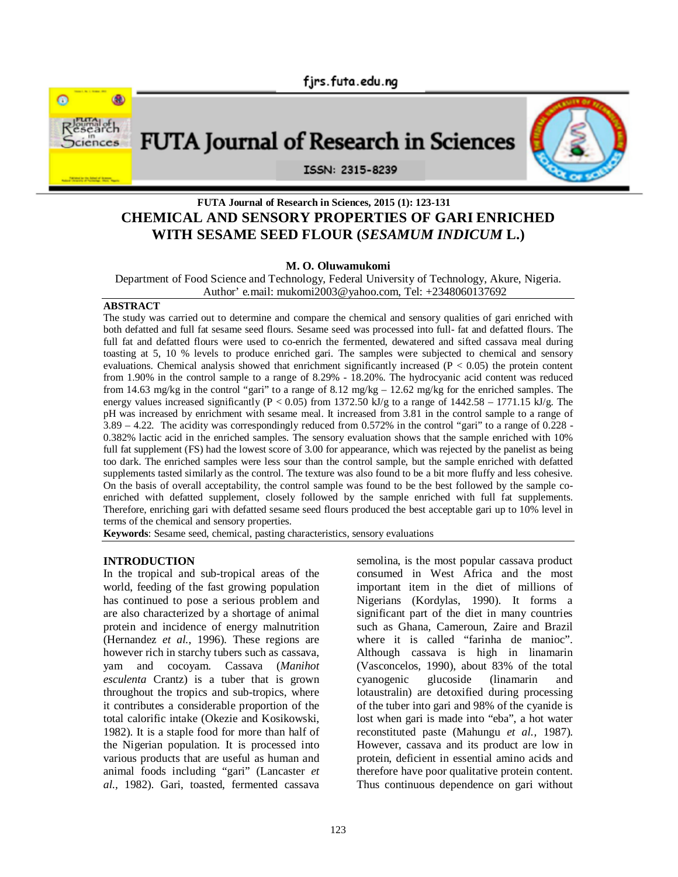

FUTA Journal of Research in Sciences



# **FUTA Journal of Research in Sciences, 2015 (1): 123-131**

ISSN: 2315-8239

# **CHEMICAL AND SENSORY PROPERTIES OF GARI ENRICHED WITH SESAME SEED FLOUR (***SESAMUM INDICUM* **L.)**

#### **M. O. Oluwamukomi**

Department of Food Science and Technology, Federal University of Technology, Akure, Nigeria. Author' e.mail: mukomi2003@yahoo.com, Tel: +2348060137692

#### **ABSTRACT**

The study was carried out to determine and compare the chemical and sensory qualities of gari enriched with both defatted and full fat sesame seed flours. Sesame seed was processed into full- fat and defatted flours. The full fat and defatted flours were used to co-enrich the fermented, dewatered and sifted cassava meal during toasting at 5, 10 % levels to produce enriched gari. The samples were subjected to chemical and sensory evaluations. Chemical analysis showed that enrichment significantly increased ( $P < 0.05$ ) the protein content from 1.90% in the control sample to a range of 8.29% - 18.20%. The hydrocyanic acid content was reduced from 14.63 mg/kg in the control "gari" to a range of 8.12 mg/kg – 12.62 mg/kg for the enriched samples. The energy values increased significantly (P < 0.05) from 1372.50 kJ/g to a range of  $1442.58 - 1771.15$  kJ/g. The pH was increased by enrichment with sesame meal. It increased from 3.81 in the control sample to a range of  $3.89 - 4.22$ . The acidity was correspondingly reduced from 0.572% in the control "gari" to a range of 0.228 -0.382% lactic acid in the enriched samples. The sensory evaluation shows that the sample enriched with 10% full fat supplement (FS) had the lowest score of 3.00 for appearance, which was rejected by the panelist as being too dark. The enriched samples were less sour than the control sample, but the sample enriched with defatted supplements tasted similarly as the control. The texture was also found to be a bit more fluffy and less cohesive. On the basis of overall acceptability, the control sample was found to be the best followed by the sample coenriched with defatted supplement, closely followed by the sample enriched with full fat supplements. Therefore, enriching gari with defatted sesame seed flours produced the best acceptable gari up to 10% level in terms of the chemical and sensory properties.

**Keywords**: Sesame seed, chemical, pasting characteristics, sensory evaluations

# **INTRODUCTION**

In the tropical and sub-tropical areas of the world, feeding of the fast growing population has continued to pose a serious problem and are also characterized by a shortage of animal protein and incidence of energy malnutrition (Hernandez *et al.*, 1996). These regions are however rich in starchy tubers such as cassava, yam and cocoyam. Cassava (*Manihot esculenta* Crantz) is a tuber that is grown throughout the tropics and sub-tropics, where it contributes a considerable proportion of the total calorific intake (Okezie and Kosikowski, 1982). It is a staple food for more than half of the Nigerian population. It is processed into various products that are useful as human and animal foods including "gari" (Lancaster *et al.,* 1982). Gari, toasted, fermented cassava

semolina, is the most popular cassava product consumed in West Africa and the most important item in the diet of millions of Nigerians (Kordylas, 1990). It forms a significant part of the diet in many countries such as Ghana, Cameroun, Zaire and Brazil where it is called "farinha de manioc". Although cassava is high in linamarin (Vasconcelos, 1990), about 83% of the total<br>cyanogenic glucoside (linamarin and cyanogenic glucoside (linamarin and lotaustralin) are detoxified during processing of the tuber into gari and 98% of the cyanide is lost when gari is made into "eba", a hot water reconstituted paste (Mahungu *et al.,* 1987). However, cassava and its product are low in protein, deficient in essential amino acids and therefore have poor qualitative protein content. Thus continuous dependence on gari without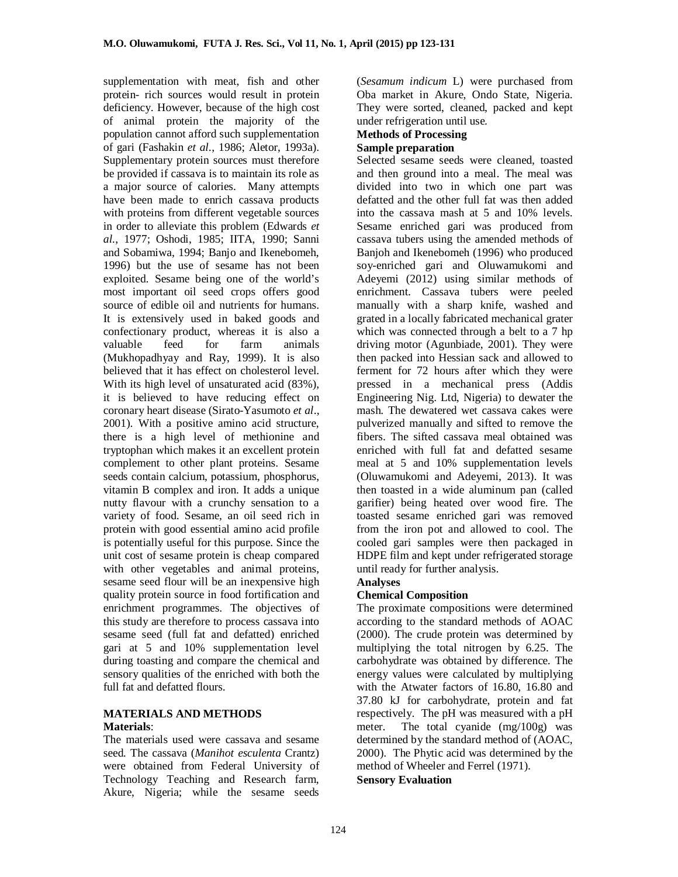supplementation with meat, fish and other protein- rich sources would result in protein deficiency. However, because of the high cost of animal protein the majority of the population cannot afford such supplementation of gari (Fashakin *et al.*, 1986; Aletor, 1993a). Supplementary protein sources must therefore be provided if cassava is to maintain its role as a major source of calories. Many attempts have been made to enrich cassava products with proteins from different vegetable sources in order to alleviate this problem (Edwards *et al.*, 1977; Oshodi, 1985; IITA, 1990; Sanni and Sobamiwa, 1994; Banjo and Ikenebomeh, 1996) but the use of sesame has not been exploited. Sesame being one of the world's most important oil seed crops offers good source of edible oil and nutrients for humans. It is extensively used in baked goods and confectionary product, whereas it is also a valuable feed for farm animals (Mukhopadhyay and Ray, 1999). It is also believed that it has effect on cholesterol level. With its high level of unsaturated acid (83%), it is believed to have reducing effect on coronary heart disease (Sirato-Yasumoto *et al*., 2001). With a positive amino acid structure, there is a high level of methionine and tryptophan which makes it an excellent protein complement to other plant proteins. Sesame seeds contain calcium, potassium, phosphorus, vitamin B complex and iron. It adds a unique nutty flavour with a crunchy sensation to a variety of food. Sesame, an oil seed rich in protein with good essential amino acid profile is potentially useful for this purpose. Since the unit cost of sesame protein is cheap compared with other vegetables and animal proteins, sesame seed flour will be an inexpensive high quality protein source in food fortification and enrichment programmes. The objectives of this study are therefore to process cassava into sesame seed (full fat and defatted) enriched gari at 5 and 10% supplementation level during toasting and compare the chemical and sensory qualities of the enriched with both the full fat and defatted flours.

#### **MATERIALS AND METHODS Materials**:

The materials used were cassava and sesame seed. The cassava (*Manihot esculenta* Crantz) were obtained from Federal University of Technology Teaching and Research farm, Akure, Nigeria; while the sesame seeds

(*Sesamum indicum* L) were purchased from Oba market in Akure, Ondo State, Nigeria. They were sorted, cleaned, packed and kept under refrigeration until use.

#### **Methods of Processing Sample preparation**

Selected sesame seeds were cleaned, toasted and then ground into a meal. The meal was divided into two in which one part was defatted and the other full fat was then added into the cassava mash at 5 and 10% levels. Sesame enriched gari was produced from cassava tubers using the amended methods of Banjoh and Ikenebomeh (1996) who produced soy-enriched gari and Oluwamukomi and Adeyemi (2012) using similar methods of enrichment. Cassava tubers were peeled manually with a sharp knife, washed and grated in a locally fabricated mechanical grater which was connected through a belt to a 7 hp driving motor (Agunbiade, 2001). They were then packed into Hessian sack and allowed to ferment for 72 hours after which they were pressed in a mechanical press (Addis Engineering Nig. Ltd, Nigeria) to dewater the mash. The dewatered wet cassava cakes were pulverized manually and sifted to remove the fibers. The sifted cassava meal obtained was enriched with full fat and defatted sesame meal at 5 and 10% supplementation levels (Oluwamukomi and Adeyemi, 2013). It was then toasted in a wide aluminum pan (called garifier) being heated over wood fire. The toasted sesame enriched gari was removed from the iron pot and allowed to cool. The cooled gari samples were then packaged in HDPE film and kept under refrigerated storage until ready for further analysis.

# **Analyses**

# **Chemical Composition**

The proximate compositions were determined according to the standard methods of AOAC (2000). The crude protein was determined by multiplying the total nitrogen by 6.25. The carbohydrate was obtained by difference. The energy values were calculated by multiplying with the Atwater factors of 16.80, 16.80 and 37.80 kJ for carbohydrate, protein and fat respectively. The pH was measured with a pH meter. The total cyanide (mg/100g) was determined by the standard method of (AOAC, 2000). The Phytic acid was determined by the method of Wheeler and Ferrel (1971). **Sensory Evaluation**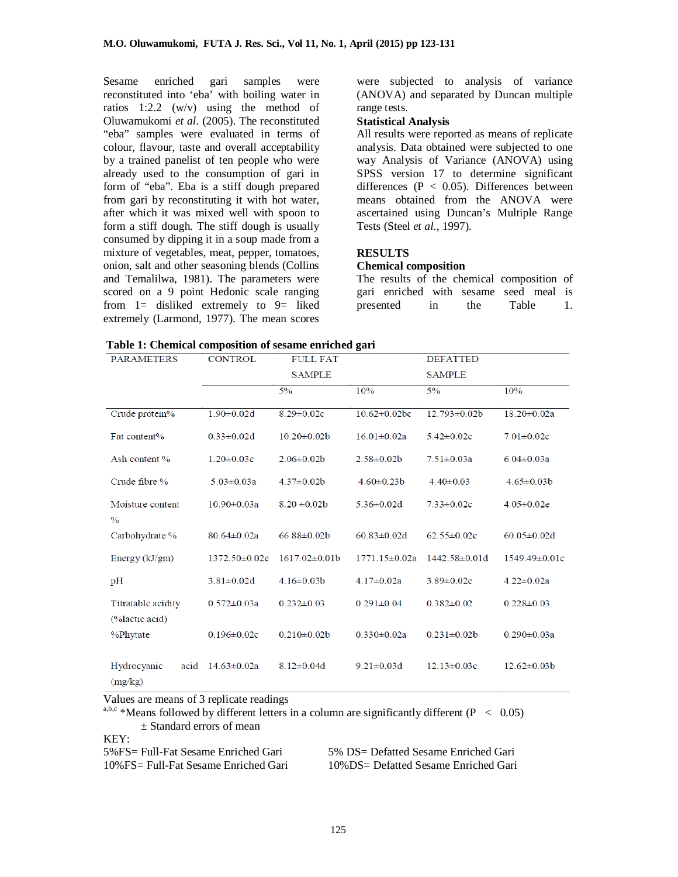Sesame enriched gari samples were reconstituted into 'eba' with boiling water in ratios 1:2.2 (w/v) using the method of Oluwamukomi *et al*. (2005). The reconstituted "eba" samples were evaluated in terms of colour, flavour, taste and overall acceptability by a trained panelist of ten people who were already used to the consumption of gari in form of "eba". Eba is a stiff dough prepared from gari by reconstituting it with hot water, after which it was mixed well with spoon to form a stiff dough. The stiff dough is usually consumed by dipping it in a soup made from a mixture of vegetables, meat, pepper, tomatoes, onion, salt and other seasoning blends (Collins and Temalilwa, 1981). The parameters were scored on a 9 point Hedonic scale ranging from  $1=$  disliked extremely to  $9=$  liked extremely (Larmond, 1977). The mean scores

were subjected to analysis of variance (ANOVA) and separated by Duncan multiple range tests.

#### **Statistical Analysis**

All results were reported as means of replicate analysis. Data obtained were subjected to one way Analysis of Variance (ANOVA) using SPSS version 17 to determine significant differences ( $P < 0.05$ ). Differences between means obtained from the ANOVA were ascertained using Duncan's Multiple Range Tests (Steel *et al.,* 1997).

#### **RESULTS**

#### **Chemical composition**

The results of the chemical composition of gari enriched with sesame seed meal is<br>presented in the Table 1. presented in the Table 1.

| Table 1: Chemical composition of sesame enriched gari |  |  |  |  |  |  |  |  |
|-------------------------------------------------------|--|--|--|--|--|--|--|--|
|-------------------------------------------------------|--|--|--|--|--|--|--|--|

| <b>PARAMETERS</b>                    | <b>CONTROL</b><br><b>FULL FAT</b> |                   | <b>DEFATTED</b>     |                    |                    |
|--------------------------------------|-----------------------------------|-------------------|---------------------|--------------------|--------------------|
|                                      |                                   | <b>SAMPLE</b>     |                     | <b>SAMPLE</b>      |                    |
|                                      |                                   | 5%                | 10%                 | 5%                 | 10%                |
| Crude protein%                       | $1.90 \pm 0.02$ d                 | $8.29 \pm 0.02c$  | $10.62 \pm 0.02$ bc | $12.793 \pm 0.02b$ | $18.20 \pm 0.02a$  |
| Fat content%                         | $0.33 \pm 0.02d$                  | $10.20 \pm 0.02b$ | $16.01 \pm 0.02a$   | $5.42 \pm 0.02c$   | $7.01 \pm 0.02c$   |
| Ash content %                        | $1.20 \pm 0.03c$                  | $2.06 \pm 0.02 b$ | $2.58 \pm 0.02 b$   | $7.51 \pm 0.03a$   | $6.04 \pm 0.03a$   |
| Crude fibre %                        | $5.03 \pm 0.03a$                  | $4.37 \pm 0.02b$  | $4.60 \pm 0.23 b$   | $4.40 \pm 0.03$    | $4.65 \pm 0.03 b$  |
| Moisture content<br>$\frac{0}{0}$    | $10.90 \pm 0.03a$                 | $8.20 \pm 0.02b$  | $5.36 \pm 0.02d$    | $7.33 \pm 0.02c$   | $4.05 \pm 0.02e$   |
| Carbohydrate %                       | $80.64 \pm 0.02a$                 | $66.88 \pm 0.02b$ | $60.83 \pm 0.02$ d  | $62.55 \pm 0.02c$  | $60.05 \pm 0.02$ d |
| Energy $(kJ/gm)$                     | 1372.50±0.02e                     | $1617.02\pm0.01b$ | $1771.15 \pm 0.02a$ | $1442.58\pm0.01d$  | 1549.49±0.01c      |
| pH                                   | $3.81 \pm 0.02$ d                 | $4.16 \pm 0.03 b$ | $4.17 \pm 0.02a$    | $3.89 \pm 0.02c$   | $4.22 \pm 0.02a$   |
| Titratable acidity<br>(%lactic acid) | $0.572 \pm 0.03a$                 | $0.232 \pm 0.03$  | $0.291 \pm 0.04$    | $0.382 \pm 0.02$   | $0.228 \pm 0.03$   |
| %Phytate                             | $0.196 \pm 0.02c$                 | $0.210 \pm 0.02b$ | $0.330 \pm 0.02a$   | $0.231 \pm 0.02b$  | $0.290 \pm 0.03a$  |
| Hydrocyanic<br>acid<br>(mg/kg)       | $14.63 \pm 0.02a$                 | $8.12 \pm 0.04$ d | $9.21 \pm 0.03$ d   | $12.13 \pm 0.03c$  | $12.62 \pm 0.03 b$ |

Values are means of 3 replicate readings

a,b,c \*Means followed by different letters in a column are significantly different (P  $\leq$  0.05) ± Standard errors of mean

KEY:

| 5%FS= Full-Fat Sesame Enriched Gari   | $5\%$ DS= Def  |
|---------------------------------------|----------------|
| 10% FS= Full-Fat Sesame Enriched Gari | $10\%$ DS = De |

fatted Sesame Enriched Gari fatted Sesame Enriched Gari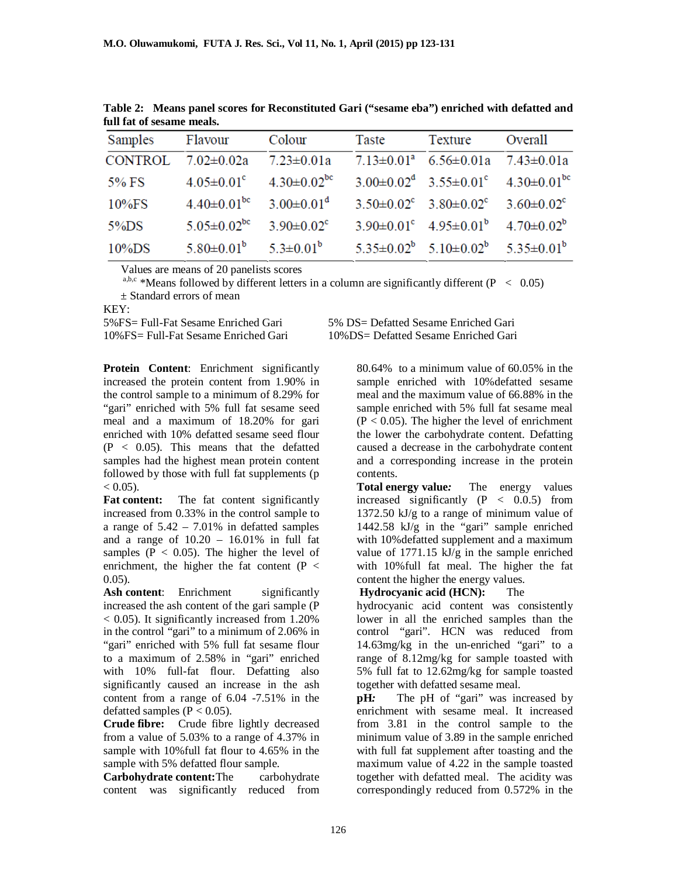| Samples Flavour |                                                        | Colour                                          | Taste | Texture                                                                 | Overall |
|-----------------|--------------------------------------------------------|-------------------------------------------------|-------|-------------------------------------------------------------------------|---------|
| <b>CONTROL</b>  | $7.02 \pm 0.02a$ $7.23 \pm 0.01a$                      |                                                 |       | $7.13 \pm 0.01^a$ 6.56 $\pm$ 0.01a 7.43 $\pm$ 0.01a                     |         |
| 5% FS           |                                                        | $4.05 \pm 0.01^{\circ}$ $4.30 \pm 0.02^{\circ}$ |       | $3.00 \pm 0.02^{\circ}$ $3.55 \pm 0.01^{\circ}$ $4.30 \pm 0.01^{\circ}$ |         |
| $10\%$ FS       |                                                        | $4.40\pm0.01^{bc}$ 3.00 $\pm0.01^{d}$           |       | $3.50\pm0.02^c$ $3.80\pm0.02^c$ $3.60\pm0.02^c$                         |         |
| $5\%$ DS        | $5.05 \pm 0.02^{\text{bc}}$ $3.90 \pm 0.02^{\text{c}}$ |                                                 |       | $3.90\pm0.01^c$ $4.95\pm0.01^b$ $4.70\pm0.02^b$                         |         |
| $10\%$ DS       |                                                        | $5.80 \pm 0.01^b$ $5.3 \pm 0.01^b$              |       | $5.35\pm0.02^b$ $5.10\pm0.02^b$ $5.35\pm0.01^b$                         |         |

**Table 2: Means panel scores for Reconstituted Gari ("sesame eba") enriched with defatted and full fat of sesame meals.**

Values are means of 20 panelists scores

a,b,c \*Means followed by different letters in a column are significantly different ( $P < 0.05$ ) ± Standard errors of mean

KEY:<br>5%FS= Full-Fat Sesame Enriched Gari

 $5\%$   $DS=$  Defatted Sesame Enriched Gari 10%FS= Full-Fat Sesame Enriched Gari 10%DS= Defatted Sesame Enriched Gari

**Protein Content**: Enrichment significantly increased the protein content from 1.90% in the control sample to a minimum of 8.29% for "gari" enriched with 5% full fat sesame seed meal and a maximum of 18.20% for gari enriched with 10% defatted sesame seed flour  $(P < 0.05)$ . This means that the defatted samples had the highest mean protein content followed by those with full fat supplements (p  $< 0.05$ ).

Fat content: The fat content significantly increased from 0.33% in the control sample to a range of  $5.42 - 7.01\%$  in defatted samples and a range of  $10.20 - 16.01\%$  in full fat samples ( $P < 0.05$ ). The higher the level of enrichment, the higher the fat content  $(P <$ 0.05).

Ash content: Enrichment significantly increased the ash content of the gari sample (P  $<$  0.05). It significantly increased from 1.20% in the control "gari" to a minimum of 2.06% in "gari" enriched with 5% full fat sesame flour to a maximum of 2.58% in "gari" enriched with 10% full-fat flour. Defatting also significantly caused an increase in the ash content from a range of 6.04 -7.51% in the defatted samples ( $P < 0.05$ ).

**Crude fibre:** Crude fibre lightly decreased from a value of 5.03% to a range of 4.37% in sample with 10%full fat flour to 4.65% in the sample with 5% defatted flour sample.

**Carbohydrate content:**The carbohydrate content was significantly reduced from

80.64% to a minimum value of 60.05% in the sample enriched with 10%defatted sesame meal and the maximum value of 66.88% in the sample enriched with 5% full fat sesame meal  $(P < 0.05)$ . The higher the level of enrichment the lower the carbohydrate content. Defatting caused a decrease in the carbohydrate content and a corresponding increase in the protein contents.

**Total energy value***:* The energy values increased significantly  $(P < 0.0.5)$  from 1372.50 kJ/g to a range of minimum value of 1442.58 kJ/g in the "gari" sample enriched with 10%defatted supplement and a maximum value of 1771.15 kJ/g in the sample enriched with 10%full fat meal. The higher the fat content the higher the energy values.

# **Hydrocyanic acid (HCN):** The

hydrocyanic acid content was consistently lower in all the enriched samples than the control "gari". HCN was reduced from 14.63mg/kg in the un-enriched "gari" to a range of 8.12mg/kg for sample toasted with 5% full fat to 12.62mg/kg for sample toasted together with defatted sesame meal.

**pH**: The pH of "gari" was increased by enrichment with sesame meal. It increased from 3.81 in the control sample to the minimum value of 3.89 in the sample enriched with full fat supplement after toasting and the maximum value of 4.22 in the sample toasted together with defatted meal. The acidity was correspondingly reduced from 0.572% in the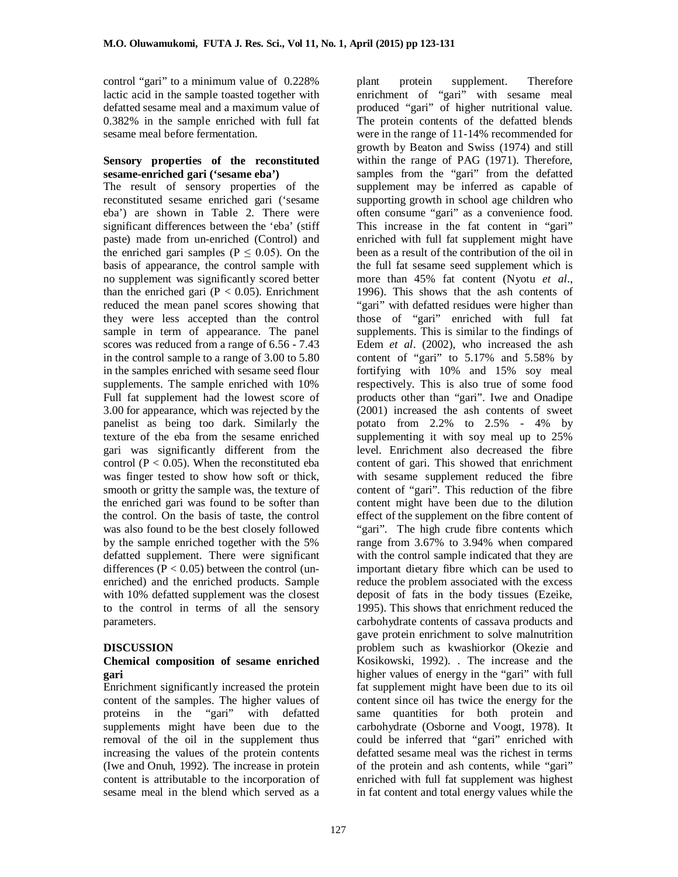control "gari" to a minimum value of 0.228% lactic acid in the sample toasted together with defatted sesame meal and a maximum value of 0.382% in the sample enriched with full fat sesame meal before fermentation.

#### **Sensory properties of the reconstituted sesame-enriched gari ('sesame eba')**

The result of sensory properties of the reconstituted sesame enriched gari ('sesame eba') are shown in Table 2. There were significant differences between the 'eba' (stiff paste) made from un-enriched (Control) and the enriched gari samples ( $P \le 0.05$ ). On the basis of appearance, the control sample with no supplement was significantly scored better than the enriched gari ( $P < 0.05$ ). Enrichment reduced the mean panel scores showing that they were less accepted than the control sample in term of appearance. The panel scores was reduced from a range of 6.56 - 7.43 in the control sample to a range of 3.00 to 5.80 in the samples enriched with sesame seed flour supplements. The sample enriched with 10% Full fat supplement had the lowest score of 3.00 for appearance, which was rejected by the panelist as being too dark. Similarly the texture of the eba from the sesame enriched gari was significantly different from the control ( $P < 0.05$ ). When the reconstituted eba was finger tested to show how soft or thick, smooth or gritty the sample was, the texture of the enriched gari was found to be softer than the control. On the basis of taste, the control was also found to be the best closely followed by the sample enriched together with the 5% defatted supplement. There were significant differences ( $P < 0.05$ ) between the control (unenriched) and the enriched products. Sample with 10% defatted supplement was the closest to the control in terms of all the sensory parameters.

# **DISCUSSION**

#### **Chemical composition of sesame enriched gari**

Enrichment significantly increased the protein content of the samples. The higher values of proteins in the "gari" with defatted supplements might have been due to the removal of the oil in the supplement thus increasing the values of the protein contents (Iwe and Onuh, 1992). The increase in protein content is attributable to the incorporation of sesame meal in the blend which served as a

plant protein supplement. Therefore enrichment of "gari" with sesame meal produced "gari" of higher nutritional value. The protein contents of the defatted blends were in the range of 11-14% recommended for growth by Beaton and Swiss (1974) and still within the range of PAG (1971). Therefore, samples from the "gari" from the defatted supplement may be inferred as capable of supporting growth in school age children who often consume "gari" as a convenience food. This increase in the fat content in "gari" enriched with full fat supplement might have been as a result of the contribution of the oil in the full fat sesame seed supplement which is more than 45% fat content (Nyotu *et al*., 1996). This shows that the ash contents of "gari" with defatted residues were higher than those of "gari" enriched with full fat supplements. This is similar to the findings of Edem *et al*. (2002), who increased the ash content of "gari" to 5.17% and 5.58% by fortifying with 10% and 15% soy meal respectively. This is also true of some food products other than "gari". Iwe and Onadipe (2001) increased the ash contents of sweet potato from  $2.2\%$  to  $2.5\%$  - 4% by supplementing it with soy meal up to 25% level. Enrichment also decreased the fibre content of gari. This showed that enrichment with sesame supplement reduced the fibre content of "gari". This reduction of the fibre content might have been due to the dilution effect of the supplement on the fibre content of "gari". The high crude fibre contents which range from 3.67% to 3.94% when compared with the control sample indicated that they are important dietary fibre which can be used to reduce the problem associated with the excess deposit of fats in the body tissues (Ezeike, 1995). This shows that enrichment reduced the carbohydrate contents of cassava products and gave protein enrichment to solve malnutrition problem such as kwashiorkor (Okezie and Kosikowski, 1992). . The increase and the higher values of energy in the "gari" with full fat supplement might have been due to its oil content since oil has twice the energy for the same quantities for both protein and carbohydrate (Osborne and Voogt, 1978). It could be inferred that "gari" enriched with defatted sesame meal was the richest in terms of the protein and ash contents, while "gari" enriched with full fat supplement was highest in fat content and total energy values while the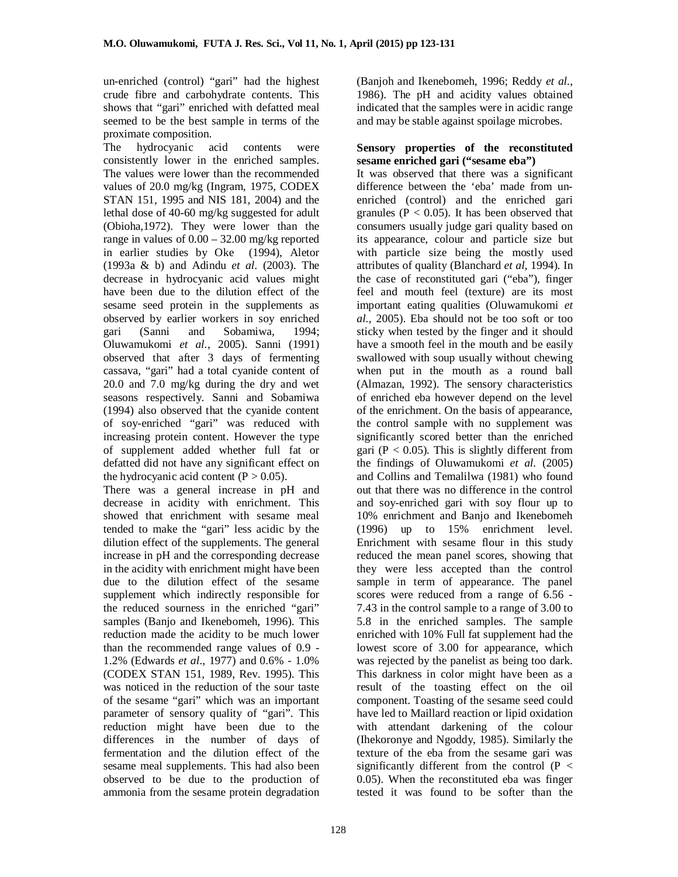un-enriched (control) "gari" had the highest crude fibre and carbohydrate contents. This shows that "gari" enriched with defatted meal seemed to be the best sample in terms of the proximate composition.

The hydrocyanic acid contents were consistently lower in the enriched samples. The values were lower than the recommended values of 20.0 mg/kg (Ingram, 1975, CODEX STAN 151, 1995 and NIS 181, 2004) and the lethal dose of 40-60 mg/kg suggested for adult (Obioha,1972). They were lower than the range in values of  $0.00 - 32.00$  mg/kg reported in earlier studies by Oke (1994), Aletor (1993a & b) and Adindu *et al*. (2003). The decrease in hydrocyanic acid values might have been due to the dilution effect of the sesame seed protein in the supplements as observed by earlier workers in soy enriched gari (Sanni and Sobamiwa, 1994; Oluwamukomi *et al.*, 2005). Sanni (1991) observed that after 3 days of fermenting cassava, "gari" had a total cyanide content of 20.0 and 7.0 mg/kg during the dry and wet seasons respectively. Sanni and Sobamiwa (1994) also observed that the cyanide content of soy-enriched "gari" was reduced with increasing protein content. However the type of supplement added whether full fat or defatted did not have any significant effect on the hydrocyanic acid content  $(P > 0.05)$ .

There was a general increase in pH and decrease in acidity with enrichment. This showed that enrichment with sesame meal tended to make the "gari" less acidic by the dilution effect of the supplements. The general increase in pH and the corresponding decrease in the acidity with enrichment might have been due to the dilution effect of the sesame supplement which indirectly responsible for the reduced sourness in the enriched "gari" samples (Banjo and Ikenebomeh, 1996). This reduction made the acidity to be much lower than the recommended range values of 0.9 - 1.2% (Edwards *et al*., 1977) and 0.6% - 1.0% (CODEX STAN 151, 1989, Rev. 1995). This was noticed in the reduction of the sour taste of the sesame "gari" which was an important parameter of sensory quality of "gari". This reduction might have been due to the differences in the number of days of fermentation and the dilution effect of the sesame meal supplements. This had also been observed to be due to the production of ammonia from the sesame protein degradation

(Banjoh and Ikenebomeh, 1996; Reddy *et al.*, 1986). The pH and acidity values obtained indicated that the samples were in acidic range and may be stable against spoilage microbes.

#### **Sensory properties of the reconstituted sesame enriched gari ("sesame eba")**

It was observed that there was a significant difference between the 'eba' made from unenriched (control) and the enriched gari granules ( $P < 0.05$ ). It has been observed that consumers usually judge gari quality based on its appearance, colour and particle size but with particle size being the mostly used attributes of quality (Blanchard *et al*, 1994). In the case of reconstituted gari ("eba"), finger feel and mouth feel (texture) are its most important eating qualities (Oluwamukomi *et al.,* 2005). Eba should not be too soft or too sticky when tested by the finger and it should have a smooth feel in the mouth and be easily swallowed with soup usually without chewing when put in the mouth as a round ball (Almazan, 1992). The sensory characteristics of enriched eba however depend on the level of the enrichment. On the basis of appearance, the control sample with no supplement was significantly scored better than the enriched gari ( $P < 0.05$ ). This is slightly different from the findings of Oluwamukomi *et al.* (2005) and Collins and Temalilwa (1981) who found out that there was no difference in the control and soy-enriched gari with soy flour up to 10% enrichment and Banjo and Ikenebomeh (1996) up to 15% enrichment level. Enrichment with sesame flour in this study reduced the mean panel scores, showing that they were less accepted than the control sample in term of appearance. The panel scores were reduced from a range of 6.56 - 7.43 in the control sample to a range of 3.00 to 5.8 in the enriched samples. The sample enriched with 10% Full fat supplement had the lowest score of 3.00 for appearance, which was rejected by the panelist as being too dark. This darkness in color might have been as a result of the toasting effect on the oil component. Toasting of the sesame seed could have led to Maillard reaction or lipid oxidation with attendant darkening of the colour (Ihekoronye and Ngoddy, 1985). Similarly the texture of the eba from the sesame gari was significantly different from the control  $(P <$ 0.05). When the reconstituted eba was finger tested it was found to be softer than the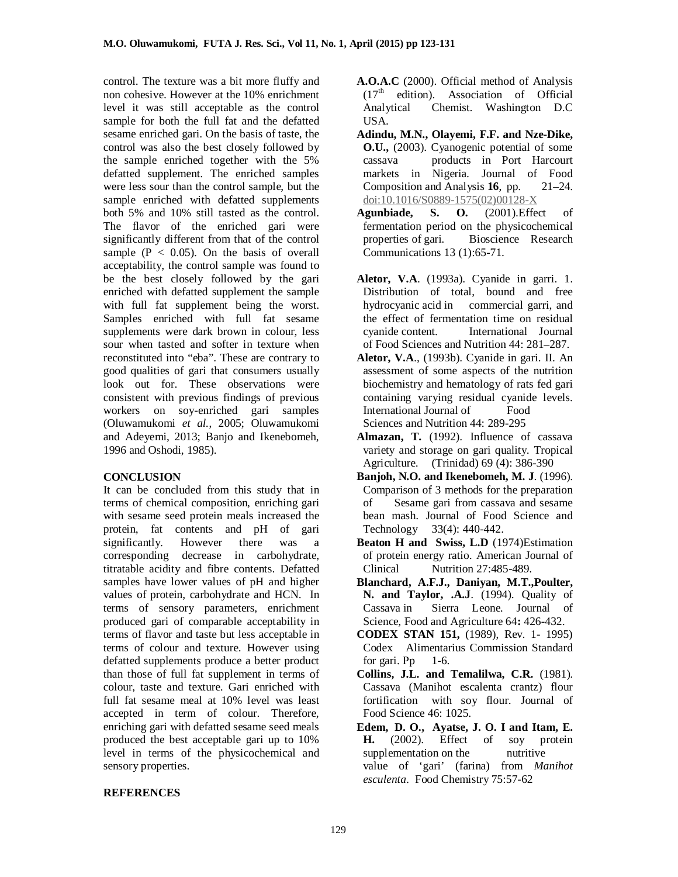control. The texture was a bit more fluffy and non cohesive. However at the 10% enrichment level it was still acceptable as the control sample for both the full fat and the defatted sesame enriched gari. On the basis of taste, the control was also the best closely followed by the sample enriched together with the 5% defatted supplement. The enriched samples were less sour than the control sample, but the sample enriched with defatted supplements both 5% and 10% still tasted as the control. The flavor of the enriched gari were significantly different from that of the control sample ( $P < 0.05$ ). On the basis of overall acceptability, the control sample was found to be the best closely followed by the gari enriched with defatted supplement the sample with full fat supplement being the worst. Samples enriched with full fat sesame supplements were dark brown in colour, less sour when tasted and softer in texture when reconstituted into "eba". These are contrary to good qualities of gari that consumers usually look out for. These observations were consistent with previous findings of previous workers on soy-enriched gari samples (Oluwamukomi *et al.*, 2005; Oluwamukomi and Adeyemi, 2013; Banjo and Ikenebomeh, 1996 and Oshodi, 1985).

# **CONCLUSION**

It can be concluded from this study that in terms of chemical composition, enriching gari with sesame seed protein meals increased the protein, fat contents and pH of gari significantly. However there was a corresponding decrease in carbohydrate, titratable acidity and fibre contents. Defatted samples have lower values of pH and higher values of protein, carbohydrate and HCN. In terms of sensory parameters, enrichment produced gari of comparable acceptability in terms of flavor and taste but less acceptable in terms of colour and texture. However using defatted supplements produce a better product than those of full fat supplement in terms of colour, taste and texture. Gari enriched with full fat sesame meal at 10% level was least accepted in term of colour. Therefore, enriching gari with defatted sesame seed meals produced the best acceptable gari up to 10% level in terms of the physicochemical and sensory properties.

- **A.O.A.C** (2000). Official method of Analysis  $(17<sup>th</sup>$  edition). Association of Official Analytical Chemist. Washington D.C USA.
- **Adindu, M.N., Olayemi, F.F. and Nze-Dike, O.U.,** (2003). Cyanogenic potential of some cassava products in Port Harcourt markets in Nigeria. Journal of Food Composition and Analysis **16**, pp. 21–24. doi:10.1016/S0889-1575(02)00128-X
- **Agunbiade, S. O.** (2001).Effect of fermentation period on the physicochemical properties of gari*.* Bioscience Research Communications 13 (1):65-71.
- **Aletor, V.A**. (1993a). Cyanide in garri. 1. Distribution of total, bound and free<br>hydrocyanic acid in commercial garri, and commercial garri, and the effect of fermentation time on residual cyanide content. International Journal of Food Sciences and Nutrition 44: 281–287.
- **Aletor, V.A**., (1993b). Cyanide in gari. II. An assessment of some aspects of the nutrition biochemistry and hematology of rats fed gari containing varying residual cyanide levels. International Journal of Food Sciences and Nutrition 44: 289-295
- **Almazan, T.** (1992). Influence of cassava variety and storage on gari quality. Tropical Agriculture. (Trinidad) 69 (4): 386-390
- **Banjoh, N.O. and Ikenebomeh, M. J**. (1996). Comparison of 3 methods for the preparation of Sesame gari from cassava and sesame bean mash. Journal of Food Science and Technology 33(4): 440-442.
- **Beaton H and Swiss, L.D** (1974)Estimation of protein energy ratio. American Journal of Clinical Nutrition 27:485-489*.*
- **Blanchard, A.F.J., Daniyan, M.T.,Poulter, N. and Taylor, .A.J**. (1994). Quality of Cassava in Sierra Leone*.* Journal of Science, Food and Agriculture 64**:** 426-432.
- **CODEX STAN 151,** (1989), Rev. 1- 1995) Codex Alimentarius Commission Standard for gari. Pp  $1-6$ .
- **Collins, J.L. and Temalilwa, C.R.** (1981). Cassava (Manihot escalenta crantz) flour fortification with soy flour. Journal of Food Science 46: 1025.
- **Edem, D. O., Ayatse, J. O. I and Itam, E. H.** (2002). Effect of soy protein supplementation on the nutritive supplementation on the value of 'gari' (farina) from *Manihot esculenta*. Food Chemistry 75:57-62

# **REFERENCES**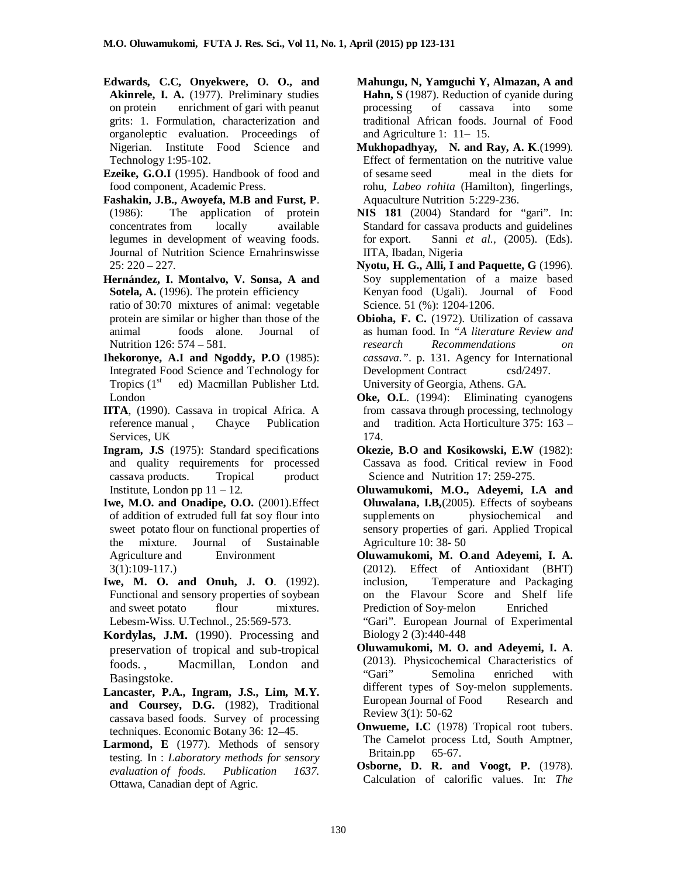- **Edwards, C.C, Onyekwere, O. O., and Akinrele, I. A.** (1977). Preliminary studies on protein enrichment of gari with peanut grits: 1. Formulation, characterization and organoleptic evaluation. Proceedings of Nigerian. Institute Food Science and Technology 1:95-102.
- **Ezeike, G.O.I** (1995). Handbook of food and food component, Academic Press.
- **Fashakin, J.B., Awoyefa, M.B and Furst, P**. (1986): The application of protein concentrates from locally available legumes in development of weaving foods. Journal of Nutrition Science Ernahrinswisse 25: 220 – 227.
- **Hernández, I. Montalvo, V. Sonsa, A and**  Sotela, A. (1996). The protein efficiency ratio of 30:70 mixtures of animal: vegetable protein are similar or higher than those of the<br>animal foods alone. Journal of foods alone. Journal of Nutrition 126: 574 – 581.
- **Ihekoronye, A.I and Ngoddy, P.O** (1985): Integrated Food Science and Technology for<br>Tropics (1<sup>st</sup> ed) Macmillan Publisher Ltd. ed) Macmillan Publisher Ltd. London
- **IITA**, (1990). Cassava in tropical Africa. A reference manual , Chayce Publication Services, UK
- **Ingram, J.S** (1975): Standard specifications and quality requirements for processed cassava products. Tropical product Institute, London pp  $11 - 12$ .
- **Iwe, M.O. and Onadipe, O.O.** (2001).Effect of addition of extruded full fat soy flour into sweet potato flour on functional properties of the mixture. Journal of Sustainable<br>Agriculture and Environment Agriculture and 3(1):109-117.)
- **Iwe, M. O. and Onuh, J. O**. (1992). Functional and sensory properties of soybean and sweet potato flour mixtures. Lebesm-Wiss. U.Technol., 25:569-573.
- **Kordylas, J.M.** (1990). Processing and preservation of tropical and sub-tropical foods. , Macmillan, London and Basingstoke.
- **Lancaster, P.A., Ingram, J.S., Lim, M.Y. and Coursey, D.G.** (1982), Traditional cassava based foods. Survey of processing techniques. Economic Botany 36: 12–45.
- Larmond, E (1977). Methods of sensory testing. In : *Laboratory methods for sensory evaluation of foods. Publication 1637.* Ottawa, Canadian dept of Agric.
- **Mahungu, N, Yamguchi Y, Almazan, A and Hahn, S** (1987). Reduction of cyanide during processing of cassava into some traditional African foods. Journal of Food and Agriculture 1: 11– 15.
- **Mukhopadhyay, N. and Ray, A. K**.(1999). Effect of fermentation on the nutritive value of sesame seed meal in the diets for rohu, *Labeo rohita* (Hamilton), fingerlings, Aquaculture Nutrition 5:229-236.
- **NIS 181** (2004) Standard for "gari". In: Standard for cassava products and guidelines for export. Sanni *et al.,* (2005). (Eds). IITA, Ibadan, Nigeria
- **Nyotu, H. G., Alli, I and Paquette, G** (1996). Soy supplementation of a maize based Kenyan food (Ugali). Journal of Food Science. 51 (%): 1204-1206.
- **Obioha, F. C.** (1972). Utilization of cassava as human food. In *"A literature Review and research Recommendations on cassava."*. p. 131. Agency for International Development Contract csd/2497. University of Georgia, Athens. GA.
- **Oke, O.L.** (1994): Eliminating cyanogens from cassava through processing, technology and tradition. Acta Horticulture 375: 163 – 174.
- **Okezie, B.O and Kosikowski, E.W** (1982): Cassava as food. Critical review in Food Science and Nutrition 17: 259-275.
- **Oluwamukomi, M.O., Adeyemi, I.A and Oluwalana, I.B,**(2005). Effects of soybeans supplements on physiochemical and sensory properties of gari. Applied Tropical Agriculture 10: 38- 50
- **Oluwamukomi, M. O**.**and Adeyemi, I. A.** (2012). Effect of Antioxidant (BHT) inclusion, Temperature and Packaging on the Flavour Score and Shelf life Prediction of Soy-melon Enriched "Gari". European Journal of Experimental Biology 2 (3):440-448
- **Oluwamukomi, M. O. and Adeyemi, I. A**. (2013). Physicochemical Characteristics of "Gari" Semolina enriched with different types of Soy-melon supplements. European Journal of Food Research and Review 3(1): 50-62
- **Onwueme, I.C** (1978) Tropical root tubers. The Camelot process Ltd, South Amptner, Britain.pp 65-67.
- **Osborne, D. R. and Voogt, P.** (1978). Calculation of calorific values. In: *The*